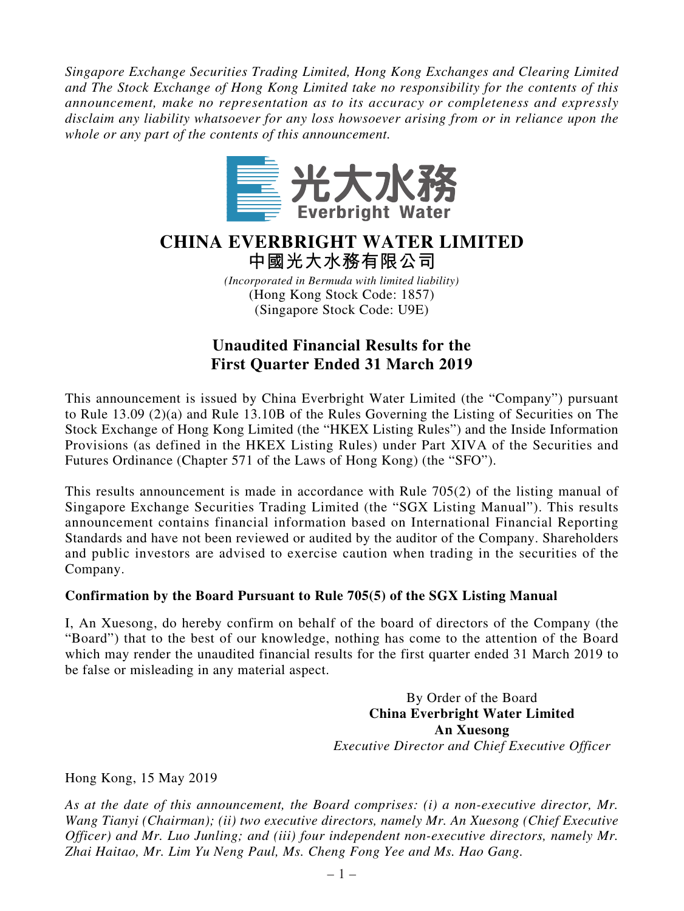*Singapore Exchange Securities Trading Limited, Hong Kong Exchanges and Clearing Limited and The Stock Exchange of Hong Kong Limited take no responsibility for the contents of this announcement, make no representation as to its accuracy or completeness and expressly disclaim any liability whatsoever for any loss howsoever arising from or in reliance upon the whole or any part of the contents of this announcement.*



# **CHINA EVERBRIGHT WATER LIMITED 中國光大水務有限公司**

*(Incorporated in Bermuda with limited liability)* (Hong Kong Stock Code: 1857) (Singapore Stock Code: U9E)

## **Unaudited Financial Results for the First Quarter Ended 31 March 2019**

This announcement is issued by China Everbright Water Limited (the "Company") pursuant to Rule 13.09 (2)(a) and Rule 13.10B of the Rules Governing the Listing of Securities on The Stock Exchange of Hong Kong Limited (the "HKEX Listing Rules") and the Inside Information Provisions (as defined in the HKEX Listing Rules) under Part XIVA of the Securities and Futures Ordinance (Chapter 571 of the Laws of Hong Kong) (the "SFO").

This results announcement is made in accordance with Rule 705(2) of the listing manual of Singapore Exchange Securities Trading Limited (the "SGX Listing Manual"). This results announcement contains financial information based on International Financial Reporting Standards and have not been reviewed or audited by the auditor of the Company. Shareholders and public investors are advised to exercise caution when trading in the securities of the Company.

#### **Confirmation by the Board Pursuant to Rule 705(5) of the SGX Listing Manual**

I, An Xuesong, do hereby confirm on behalf of the board of directors of the Company (the "Board") that to the best of our knowledge, nothing has come to the attention of the Board which may render the unaudited financial results for the first quarter ended 31 March 2019 to be false or misleading in any material aspect.

> By Order of the Board **China Everbright Water Limited An Xuesong** *Executive Director and Chief Executive Officer*

Hong Kong, 15 May 2019

*As at the date of this announcement, the Board comprises: (i) a non-executive director, Mr. Wang Tianyi (Chairman); (ii) two executive directors, namely Mr. An Xuesong (Chief Executive Officer) and Mr. Luo Junling; and (iii) four independent non-executive directors, namely Mr. Zhai Haitao, Mr. Lim Yu Neng Paul, Ms. Cheng Fong Yee and Ms. Hao Gang.*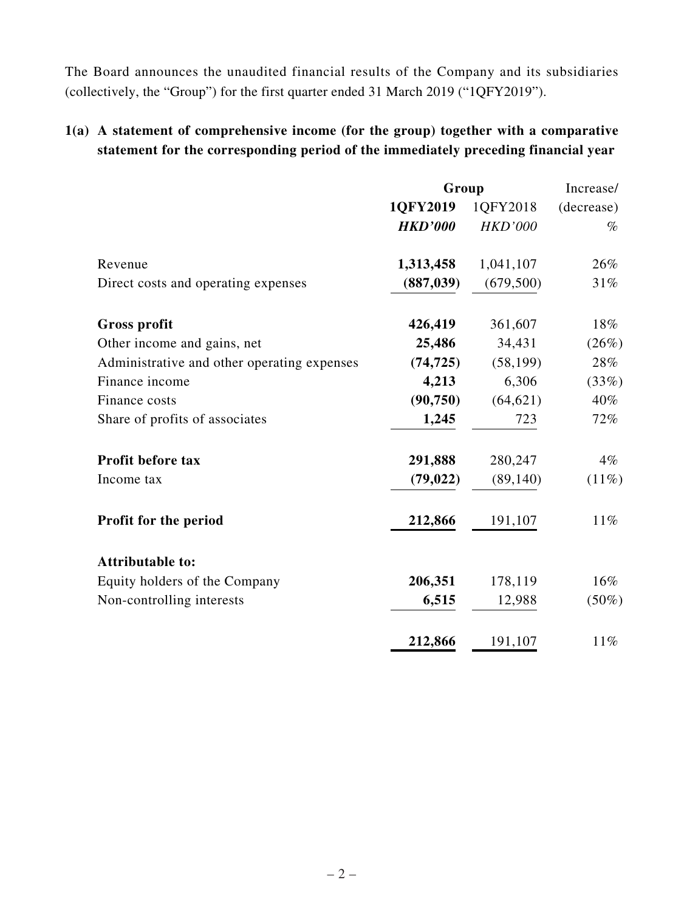The Board announces the unaudited financial results of the Company and its subsidiaries (collectively, the "Group") for the first quarter ended 31 March 2019 ("1QFY2019").

## **1(a) A statement of comprehensive income (for the group) together with a comparative statement for the corresponding period of the immediately preceding financial year**

|                                             | Group          |                | Increase/  |
|---------------------------------------------|----------------|----------------|------------|
|                                             | 1QFY2019       | 1QFY2018       | (decrease) |
|                                             | <b>HKD'000</b> | <b>HKD'000</b> | $\%$       |
| Revenue                                     | 1,313,458      | 1,041,107      | 26%        |
| Direct costs and operating expenses         | (887, 039)     | (679, 500)     | 31%        |
| <b>Gross profit</b>                         | 426,419        | 361,607        | 18%        |
| Other income and gains, net                 | 25,486         | 34,431         | (26%)      |
| Administrative and other operating expenses | (74, 725)      | (58, 199)      | 28%        |
| Finance income                              | 4,213          | 6,306          | (33%)      |
| Finance costs                               | (90, 750)      | (64, 621)      | 40%        |
| Share of profits of associates              | 1,245          | 723            | 72%        |
| Profit before tax                           | 291,888        | 280,247        | $4\%$      |
| Income tax                                  | (79, 022)      | (89, 140)      | $(11\%)$   |
| Profit for the period                       | 212,866        | 191,107        | $11\%$     |
| <b>Attributable to:</b>                     |                |                |            |
| Equity holders of the Company               | 206,351        | 178,119        | 16%        |
| Non-controlling interests                   | 6,515          | 12,988         | $(50\%)$   |
|                                             | 212,866        | 191,107        | $11\%$     |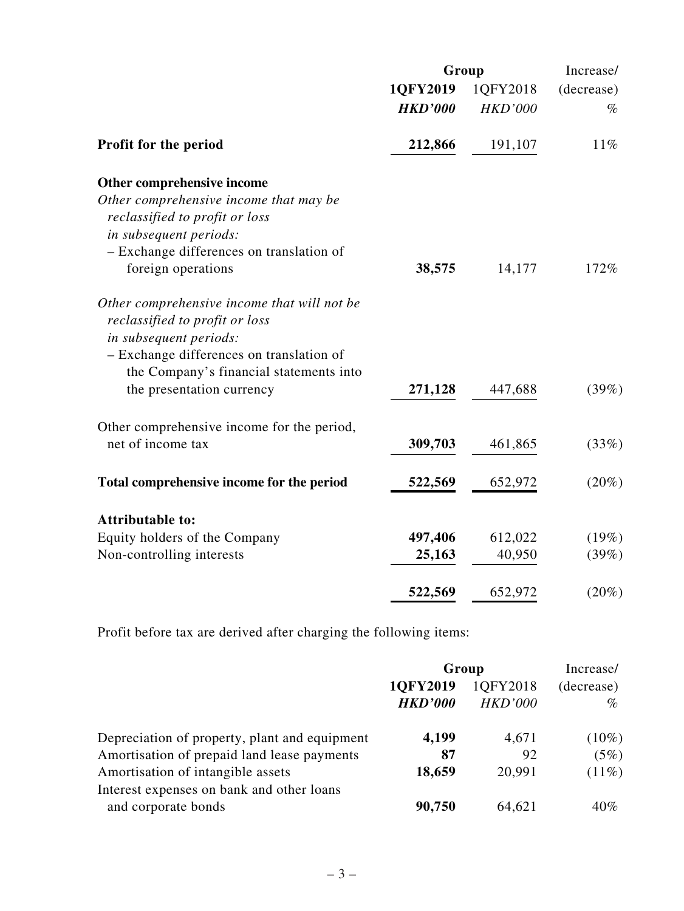|                                             |                | Group          |            |  |
|---------------------------------------------|----------------|----------------|------------|--|
|                                             | 1QFY2019       | 1QFY2018       | (decrease) |  |
|                                             | <b>HKD'000</b> | <b>HKD'000</b> | $\%$       |  |
| Profit for the period                       | 212,866        | 191,107        | 11%        |  |
| Other comprehensive income                  |                |                |            |  |
| Other comprehensive income that may be      |                |                |            |  |
| reclassified to profit or loss              |                |                |            |  |
| in subsequent periods:                      |                |                |            |  |
| - Exchange differences on translation of    |                |                |            |  |
| foreign operations                          | 38,575         | 14,177         | 172%       |  |
| Other comprehensive income that will not be |                |                |            |  |
| reclassified to profit or loss              |                |                |            |  |
| in subsequent periods:                      |                |                |            |  |
| - Exchange differences on translation of    |                |                |            |  |
| the Company's financial statements into     |                |                |            |  |
| the presentation currency                   | 271,128        | 447,688        | (39%)      |  |
| Other comprehensive income for the period,  |                |                |            |  |
| net of income tax                           | 309,703        | 461,865        | (33%)      |  |
| Total comprehensive income for the period   | 522,569        | 652,972        | $(20\%)$   |  |
|                                             |                |                |            |  |
| <b>Attributable to:</b>                     |                |                |            |  |
| Equity holders of the Company               | 497,406        | 612,022        | (19%)      |  |
| Non-controlling interests                   | 25,163         | 40,950         | (39%)      |  |
|                                             | 522,569        | 652,972        | $(20\%)$   |  |
|                                             |                |                |            |  |

Profit before tax are derived after charging the following items:

|                                               | Group          |                | Increase/  |  |
|-----------------------------------------------|----------------|----------------|------------|--|
|                                               | 1QFY2019       | 1QFY2018       | (decrease) |  |
|                                               | <b>HKD'000</b> | <b>HKD'000</b> | $\%$       |  |
| Depreciation of property, plant and equipment | 4,199          | 4,671          | $(10\%)$   |  |
| Amortisation of prepaid land lease payments   | 87             | 92             | (5%)       |  |
| Amortisation of intangible assets             | 18,659         | 20,991         | $(11\%)$   |  |
| Interest expenses on bank and other loans     |                |                |            |  |
| and corporate bonds                           | 90,750         | 64,621         | $40\%$     |  |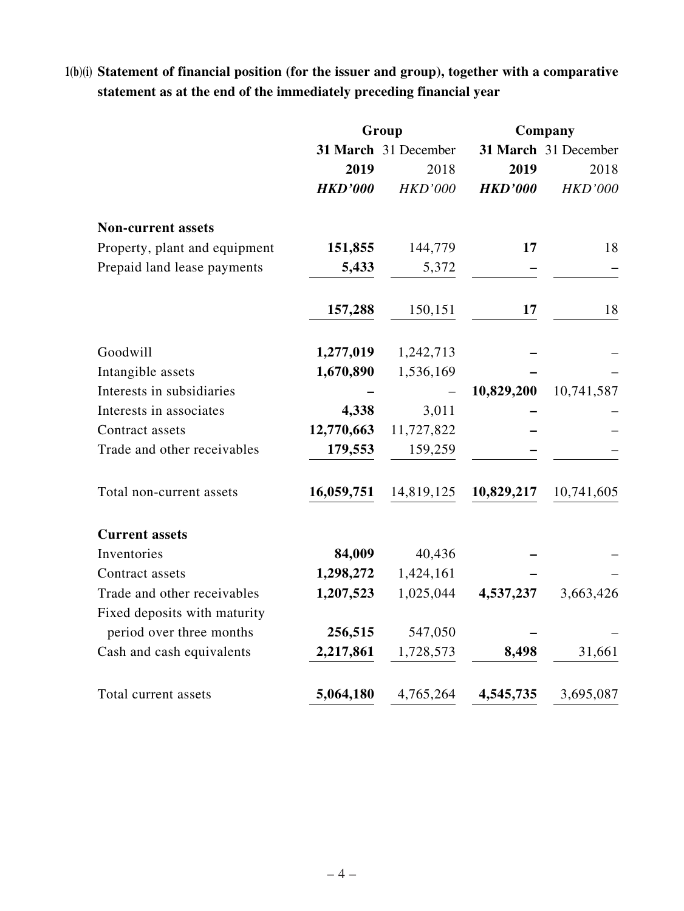# **1(b)(i) Statement of financial position (for the issuer and group), together with a comparative statement as at the end of the immediately preceding financial year**

|                               | Group          |                      |                | Company              |  |
|-------------------------------|----------------|----------------------|----------------|----------------------|--|
|                               |                | 31 March 31 December |                | 31 March 31 December |  |
|                               | 2019           | 2018                 | 2019           | 2018                 |  |
|                               | <b>HKD'000</b> | <b>HKD'000</b>       | <b>HKD'000</b> | <b>HKD'000</b>       |  |
| <b>Non-current assets</b>     |                |                      |                |                      |  |
| Property, plant and equipment | 151,855        | 144,779              | 17             | 18                   |  |
| Prepaid land lease payments   | 5,433          | 5,372                |                |                      |  |
|                               | 157,288        | 150,151              | 17             | 18                   |  |
| Goodwill                      | 1,277,019      | 1,242,713            |                |                      |  |
| Intangible assets             | 1,670,890      | 1,536,169            |                |                      |  |
| Interests in subsidiaries     |                |                      | 10,829,200     | 10,741,587           |  |
| Interests in associates       | 4,338          | 3,011                |                |                      |  |
| Contract assets               | 12,770,663     | 11,727,822           |                |                      |  |
| Trade and other receivables   | 179,553        | 159,259              |                |                      |  |
| Total non-current assets      | 16,059,751     | 14,819,125           | 10,829,217     | 10,741,605           |  |
| <b>Current assets</b>         |                |                      |                |                      |  |
| Inventories                   | 84,009         | 40,436               |                |                      |  |
| Contract assets               | 1,298,272      | 1,424,161            |                |                      |  |
| Trade and other receivables   | 1,207,523      | 1,025,044            | 4,537,237      | 3,663,426            |  |
| Fixed deposits with maturity  |                |                      |                |                      |  |
| period over three months      | 256,515        | 547,050              |                |                      |  |
| Cash and cash equivalents     | 2,217,861      | 1,728,573            | 8,498          | 31,661               |  |
| Total current assets          | 5,064,180      | 4,765,264            | 4,545,735      | 3,695,087            |  |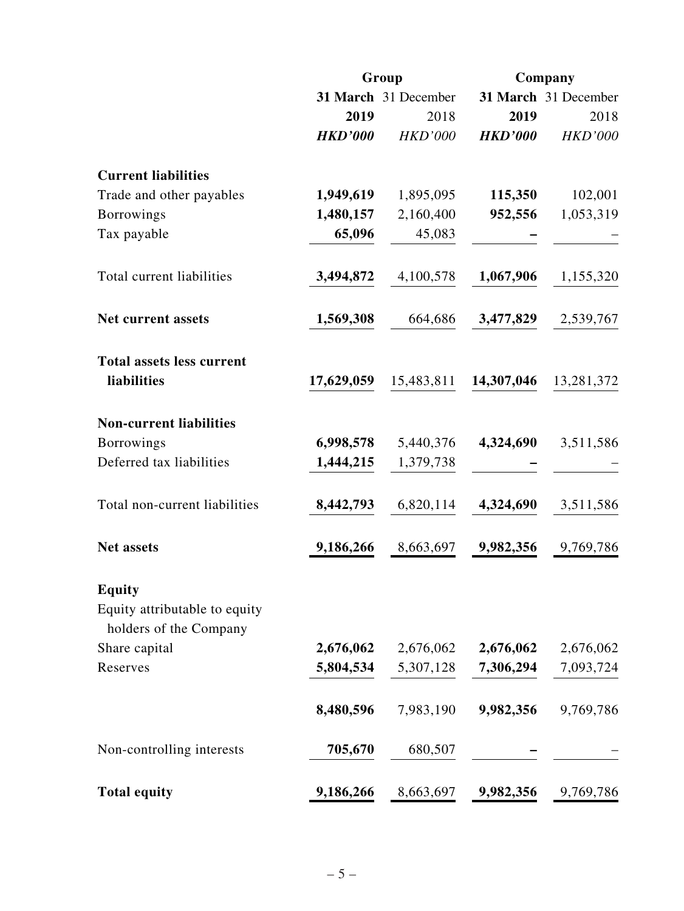|                                                         |                | Group                |                | Company              |  |
|---------------------------------------------------------|----------------|----------------------|----------------|----------------------|--|
|                                                         |                | 31 March 31 December |                | 31 March 31 December |  |
|                                                         | 2019           | 2018                 | 2019           | 2018                 |  |
|                                                         | <b>HKD'000</b> | <b>HKD'000</b>       | <b>HKD'000</b> | <b>HKD'000</b>       |  |
| <b>Current liabilities</b>                              |                |                      |                |                      |  |
| Trade and other payables                                | 1,949,619      | 1,895,095            | 115,350        | 102,001              |  |
| <b>Borrowings</b>                                       | 1,480,157      | 2,160,400            | 952,556        | 1,053,319            |  |
| Tax payable                                             | 65,096         | 45,083               |                |                      |  |
| Total current liabilities                               | 3,494,872      | 4,100,578            | 1,067,906      | 1,155,320            |  |
| <b>Net current assets</b>                               | 1,569,308      | 664,686              | 3,477,829      | 2,539,767            |  |
| <b>Total assets less current</b>                        |                |                      |                |                      |  |
| liabilities                                             | 17,629,059     | 15,483,811           | 14,307,046     | 13,281,372           |  |
| <b>Non-current liabilities</b>                          |                |                      |                |                      |  |
| <b>Borrowings</b>                                       | 6,998,578      | 5,440,376            | 4,324,690      | 3,511,586            |  |
| Deferred tax liabilities                                | 1,444,215      | 1,379,738            |                |                      |  |
| Total non-current liabilities                           | 8,442,793      | 6,820,114            | 4,324,690      | 3,511,586            |  |
| <b>Net assets</b>                                       | 9,186,266      | 8,663,697            | 9,982,356      | 9,769,786            |  |
| <b>Equity</b>                                           |                |                      |                |                      |  |
| Equity attributable to equity<br>holders of the Company |                |                      |                |                      |  |
| Share capital                                           | 2,676,062      | 2,676,062            | 2,676,062      | 2,676,062            |  |
| Reserves                                                | 5,804,534      | 5,307,128            | 7,306,294      | 7,093,724            |  |
|                                                         | 8,480,596      | 7,983,190            | 9,982,356      | 9,769,786            |  |
| Non-controlling interests                               | 705,670        | 680,507              |                |                      |  |
| <b>Total equity</b>                                     | 9,186,266      | 8,663,697            | 9,982,356      | 9,769,786            |  |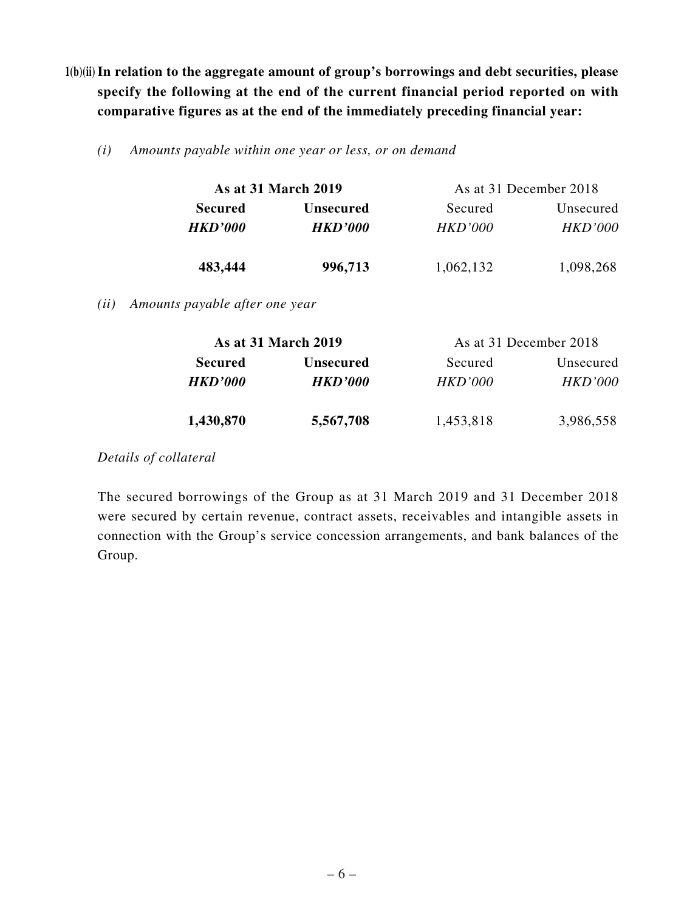- **1(b)(ii) In relation to the aggregate amount of group's borrowings and debt securities, please specify the following at the end of the current financial period reported on with comparative figures as at the end of the immediately preceding financial year:**
	- *(i) Amounts payable within one year or less, or on demand*

| As at 31 March 2019 |                  |           | As at 31 December 2018 |
|---------------------|------------------|-----------|------------------------|
| <b>Secured</b>      | <b>Unsecured</b> | Secured   | Unsecured              |
| <b>HKD'000</b>      | <b>HKD'000</b>   | HKD'000   | <i>HKD'000</i>         |
| 483,444             | 996,713          | 1,062,132 | 1,098,268              |

*(ii) Amounts payable after one year*

| <b>As at 31 March 2019</b> |                  |                | As at 31 December 2018 |
|----------------------------|------------------|----------------|------------------------|
| <b>Secured</b>             | <b>Unsecured</b> | Secured        | Unsecured              |
| <b>HKD'000</b>             | <b>HKD'000</b>   | <i>HKD'000</i> | <i>HKD'000</i>         |
| 1,430,870                  | 5,567,708        | 1,453,818      | 3,986,558              |

*Details of collateral*

The secured borrowings of the Group as at 31 March 2019 and 31 December 2018 were secured by certain revenue, contract assets, receivables and intangible assets in connection with the Group's service concession arrangements, and bank balances of the Group.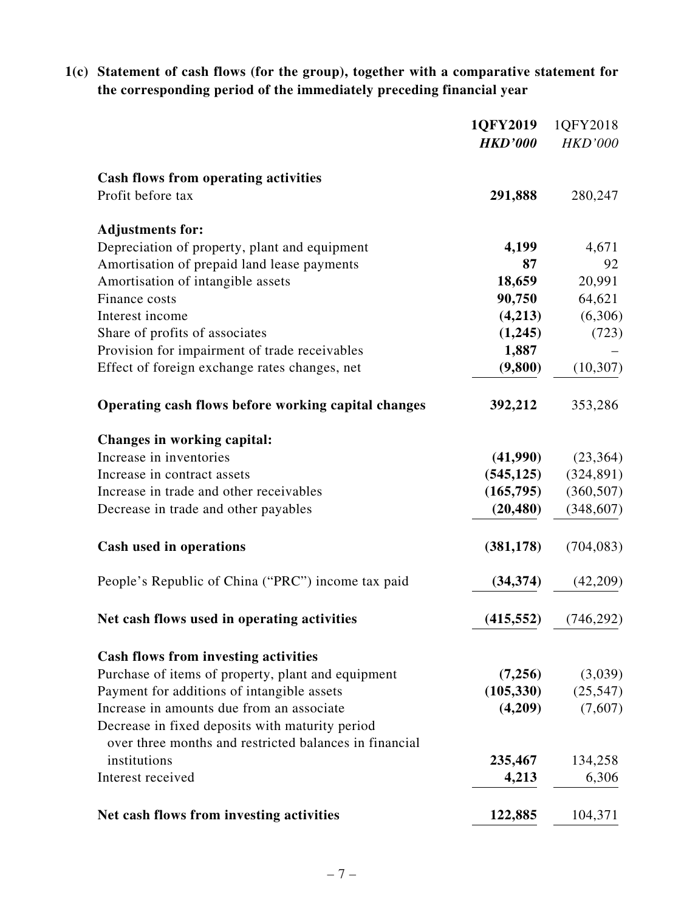**1(c) Statement of cash flows (for the group), together with a comparative statement for the corresponding period of the immediately preceding financial year**

|                                                        | 1QFY2019       | 1QFY2018       |
|--------------------------------------------------------|----------------|----------------|
|                                                        | <b>HKD'000</b> | <b>HKD'000</b> |
| <b>Cash flows from operating activities</b>            |                |                |
| Profit before tax                                      | 291,888        | 280,247        |
| <b>Adjustments for:</b>                                |                |                |
| Depreciation of property, plant and equipment          | 4,199          | 4,671          |
| Amortisation of prepaid land lease payments            | 87             | 92             |
| Amortisation of intangible assets                      | 18,659         | 20,991         |
| Finance costs                                          | 90,750         | 64,621         |
| Interest income                                        | (4,213)        | (6,306)        |
| Share of profits of associates                         | (1,245)        | (723)          |
| Provision for impairment of trade receivables          | 1,887          |                |
| Effect of foreign exchange rates changes, net          | (9,800)        | (10, 307)      |
| Operating cash flows before working capital changes    | 392,212        | 353,286        |
| Changes in working capital:                            |                |                |
| Increase in inventories                                | (41,990)       | (23, 364)      |
| Increase in contract assets                            | (545, 125)     | (324, 891)     |
| Increase in trade and other receivables                | (165, 795)     | (360, 507)     |
| Decrease in trade and other payables                   | (20, 480)      | (348, 607)     |
| <b>Cash used in operations</b>                         | (381, 178)     | (704, 083)     |
| People's Republic of China ("PRC") income tax paid     | (34, 374)      | (42,209)       |
| Net cash flows used in operating activities            | (415, 552)     | (746, 292)     |
| <b>Cash flows from investing activities</b>            |                |                |
| Purchase of items of property, plant and equipment     | (7,256)        | (3,039)        |
| Payment for additions of intangible assets             | (105, 330)     | (25, 547)      |
| Increase in amounts due from an associate              | (4,209)        | (7,607)        |
| Decrease in fixed deposits with maturity period        |                |                |
| over three months and restricted balances in financial |                |                |
| institutions                                           | 235,467        | 134,258        |
| Interest received                                      | 4,213          | 6,306          |
| Net cash flows from investing activities               | 122,885        | 104,371        |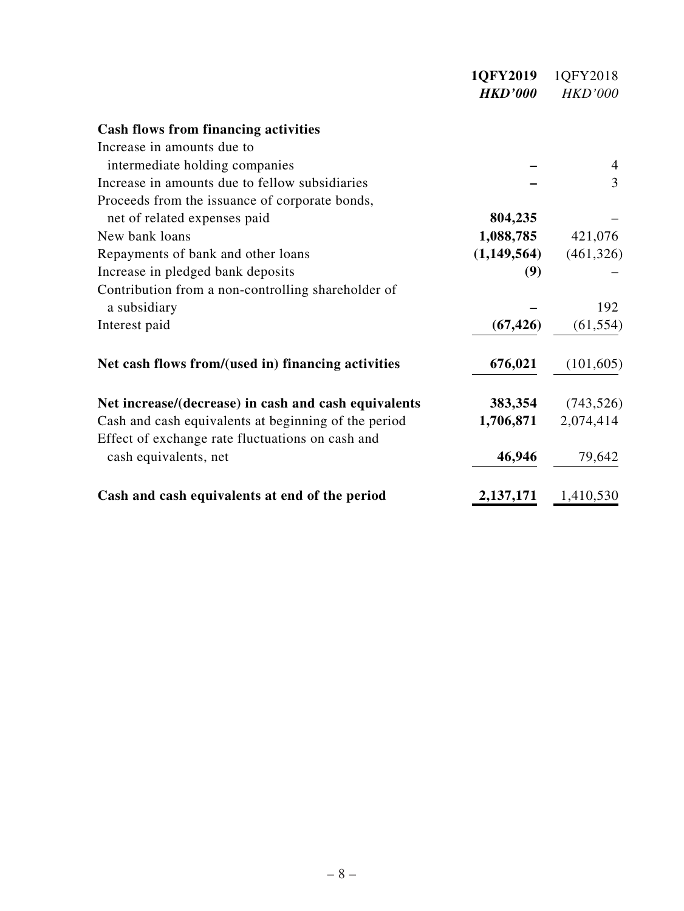|                                                      | 1QFY2019       | 1QFY2018       |
|------------------------------------------------------|----------------|----------------|
|                                                      | <b>HKD'000</b> | <b>HKD'000</b> |
| <b>Cash flows from financing activities</b>          |                |                |
| Increase in amounts due to                           |                |                |
| intermediate holding companies                       |                |                |
| Increase in amounts due to fellow subsidiaries       |                | 3              |
| Proceeds from the issuance of corporate bonds,       |                |                |
| net of related expenses paid                         | 804,235        |                |
| New bank loans                                       | 1,088,785      | 421,076        |
| Repayments of bank and other loans                   | (1,149,564)    | (461, 326)     |
| Increase in pledged bank deposits                    | (9)            |                |
| Contribution from a non-controlling shareholder of   |                |                |
| a subsidiary                                         |                | 192            |
| Interest paid                                        | (67, 426)      | (61, 554)      |
| Net cash flows from/(used in) financing activities   | 676,021        | (101, 605)     |
| Net increase/(decrease) in cash and cash equivalents | 383,354        | (743, 526)     |
| Cash and cash equivalents at beginning of the period | 1,706,871      | 2,074,414      |
| Effect of exchange rate fluctuations on cash and     |                |                |
| cash equivalents, net                                | 46,946         | 79,642         |
| Cash and cash equivalents at end of the period       | 2,137,171      | 1,410,530      |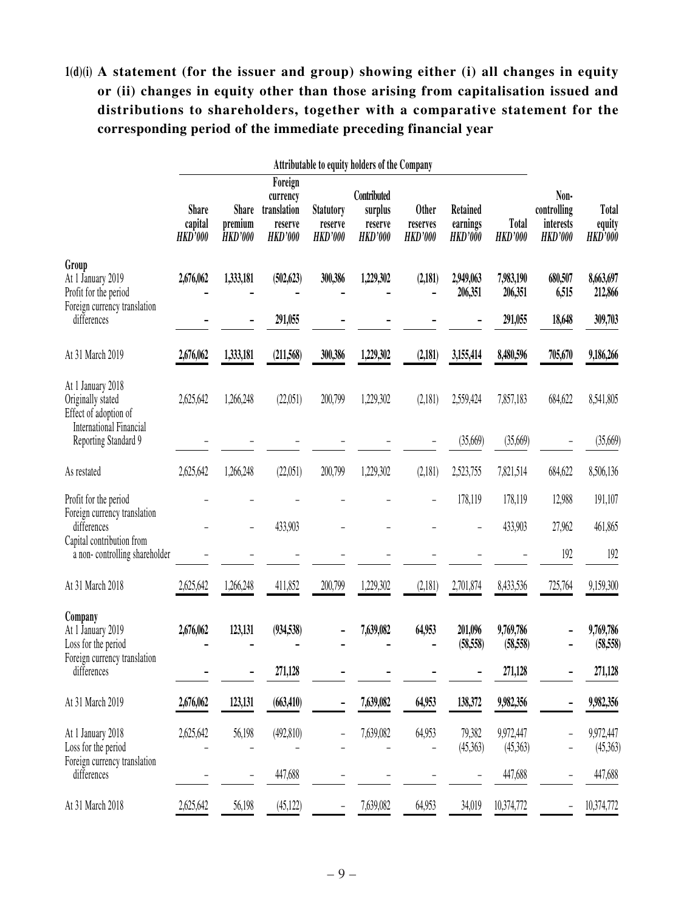# **1(d)(i) A statement (for the issuer and group) showing either (i) all changes in equity or (ii) changes in equity other than those arising from capitalisation issued and distributions to shareholders, together with a comparative statement for the corresponding period of the immediate preceding financial year**

|                                                                                                   | <b>Attributable to equity holders of the Company</b> |                                           |                                                                 |                                               |                                                     |                                            |                                               |                                |                                                    |                                          |
|---------------------------------------------------------------------------------------------------|------------------------------------------------------|-------------------------------------------|-----------------------------------------------------------------|-----------------------------------------------|-----------------------------------------------------|--------------------------------------------|-----------------------------------------------|--------------------------------|----------------------------------------------------|------------------------------------------|
|                                                                                                   | <b>Share</b><br>capital<br><b>HKD'000</b>            | <b>Share</b><br>premium<br><b>HKD'000</b> | Foreign<br>currency<br>translation<br>reserve<br><b>HKD'000</b> | <b>Statutory</b><br>reserve<br><b>HKD'000</b> | Contributed<br>surplus<br>reserve<br><b>HKD'000</b> | <b>Other</b><br>reserves<br><b>HKD'000</b> | <b>Retained</b><br>earnings<br><b>HKD'000</b> | <b>Total</b><br><b>HKD'000</b> | Non-<br>controlling<br>interests<br><b>HKD'000</b> | <b>Total</b><br>equity<br><b>HKD'000</b> |
| Group<br>At 1 January 2019<br>Profit for the period                                               | 2,676,062                                            | 1,333,181                                 | (502, 623)                                                      | 300,386                                       | 1,229,302                                           | (2,181)                                    | 2,949,063<br>206,351                          | 7,983,190<br>206,351           | 680,507<br>6,515                                   | 8,663,697<br>212,866                     |
| Foreign currency translation<br>differences                                                       |                                                      |                                           | 291,055                                                         |                                               |                                                     |                                            |                                               | 291,055                        | 18,648                                             | 309,703                                  |
| At 31 March 2019                                                                                  | 2,676,062                                            | 1,333,181                                 | (211,568)                                                       | 300,386                                       | 1,229,302                                           | (2, 181)                                   | 3,155,414                                     | 8,480,596                      | 705,670                                            | 9,186,266                                |
| At 1 January 2018<br>Originally stated<br>Effect of adoption of<br><b>International Financial</b> | 2,625,642                                            | 1,266,248                                 | (22,051)                                                        | 200,799                                       | 1,229,302                                           | (2,181)                                    | 2,559,424                                     | 7,857,183                      | 684,622                                            | 8,541,805                                |
| Reporting Standard 9                                                                              |                                                      |                                           |                                                                 |                                               |                                                     |                                            | (35,669)                                      | (35,669)                       |                                                    | (35,669)                                 |
| As restated                                                                                       | 2,625,642                                            | 1,266,248                                 | (22,051)                                                        | 200,799                                       | 1,229,302                                           | (2,181)                                    | 2,523,755                                     | 7,821,514                      | 684,622                                            | 8,506,136                                |
| Profit for the period<br>Foreign currency translation<br>differences                              |                                                      |                                           | 433,903                                                         |                                               |                                                     |                                            | 178,119                                       | 178,119<br>433,903             | 12,988<br>27,962                                   | 191,107<br>461,865                       |
| Capital contribution from<br>a non-controlling shareholder                                        |                                                      |                                           |                                                                 |                                               |                                                     |                                            |                                               |                                | 192                                                | 192                                      |
| At 31 March 2018                                                                                  | 2,625,642                                            | 1,266,248                                 | 411,852                                                         | 200,799                                       | 1,229,302                                           | (2,181)                                    | 2,701,874                                     | 8,433,536                      | 725,764                                            | 9,159,300                                |
| Company<br>At 1 January 2019<br>Loss for the period                                               | 2,676,062                                            | 123,131                                   | (934, 538)                                                      |                                               | 7,639,082                                           | 64,953                                     | 201,096<br>(58, 558)                          | 9,769,786<br>(58, 558)         |                                                    | 9,769,786<br>(58, 558)                   |
| Foreign currency translation<br>differences                                                       |                                                      |                                           | 271,128                                                         |                                               |                                                     |                                            |                                               | 271,128                        |                                                    | 271,128                                  |
| At 31 March 2019                                                                                  | 2,676,062                                            | 123,131                                   | (663, 410)                                                      |                                               | 7,639,082                                           | 64,953                                     | 138,372                                       | 9,982,356                      |                                                    | 9,982,356                                |
| At 1 January 2018<br>Loss for the period<br>Foreign currency translation                          | 2,625,642                                            | 56,198                                    | (492, 810)                                                      |                                               | 7,639,082                                           | 64,953                                     | 79,382<br>(45,363)                            | 9,972,447<br>(45,363)          |                                                    | 9,972,447<br>(45,363)                    |
| differences                                                                                       |                                                      |                                           | 447,688                                                         |                                               |                                                     |                                            |                                               | 447,688                        | $\overline{\phantom{0}}$                           | 447,688                                  |
| At 31 March 2018                                                                                  | 2,625,642                                            | 56,198                                    | (45, 122)                                                       |                                               | 7,639,082                                           | 64,953                                     | 34,019                                        | 10,374,772                     |                                                    | 10,374,772                               |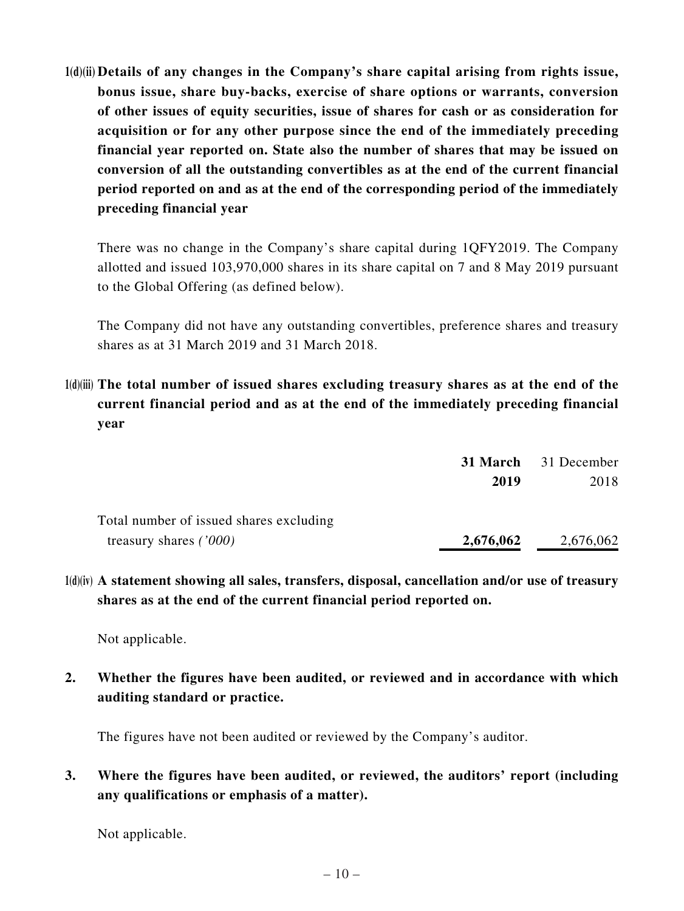**1(d)(ii) Details of any changes in the Company's share capital arising from rights issue, bonus issue, share buy-backs, exercise of share options or warrants, conversion of other issues of equity securities, issue of shares for cash or as consideration for acquisition or for any other purpose since the end of the immediately preceding financial year reported on. State also the number of shares that may be issued on conversion of all the outstanding convertibles as at the end of the current financial period reported on and as at the end of the corresponding period of the immediately preceding financial year**

There was no change in the Company's share capital during 1QFY2019. The Company allotted and issued 103,970,000 shares in its share capital on 7 and 8 May 2019 pursuant to the Global Offering (as defined below).

The Company did not have any outstanding convertibles, preference shares and treasury shares as at 31 March 2019 and 31 March 2018.

**1(d)(iii) The total number of issued shares excluding treasury shares as at the end of the current financial period and as at the end of the immediately preceding financial year**

|                                         |           | <b>31 March</b> 31 December |  |
|-----------------------------------------|-----------|-----------------------------|--|
|                                         | 2019      | 2018                        |  |
| Total number of issued shares excluding |           |                             |  |
| treasury shares $('000)$                | 2,676,062 | 2,676,062                   |  |

**1(d)(iv) A statement showing all sales, transfers, disposal, cancellation and/or use of treasury shares as at the end of the current financial period reported on.** 

Not applicable.

**2. Whether the figures have been audited, or reviewed and in accordance with which auditing standard or practice.**

The figures have not been audited or reviewed by the Company's auditor.

**3. Where the figures have been audited, or reviewed, the auditors' report (including any qualifications or emphasis of a matter).**

Not applicable.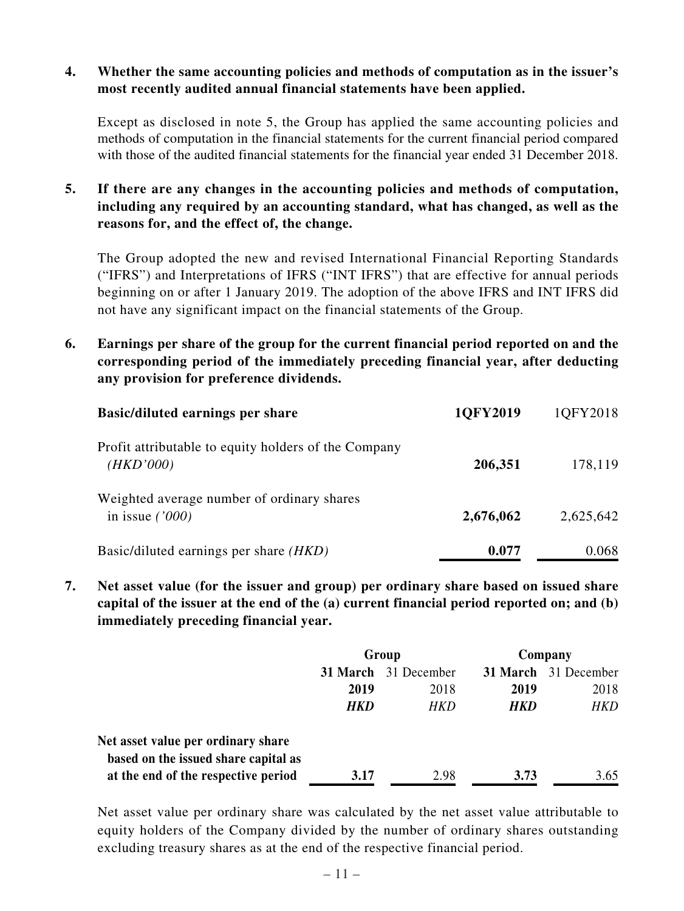#### **4. Whether the same accounting policies and methods of computation as in the issuer's most recently audited annual financial statements have been applied.**

Except as disclosed in note 5, the Group has applied the same accounting policies and methods of computation in the financial statements for the current financial period compared with those of the audited financial statements for the financial year ended 31 December 2018.

**5. If there are any changes in the accounting policies and methods of computation, including any required by an accounting standard, what has changed, as well as the reasons for, and the effect of, the change.**

The Group adopted the new and revised International Financial Reporting Standards ("IFRS") and Interpretations of IFRS ("INT IFRS") that are effective for annual periods beginning on or after 1 January 2019. The adoption of the above IFRS and INT IFRS did not have any significant impact on the financial statements of the Group.

**6. Earnings per share of the group for the current financial period reported on and the corresponding period of the immediately preceding financial year, after deducting any provision for preference dividends.**

| <b>Basic/diluted earnings per share</b>                           | 1QFY2019  | 1QFY2018  |
|-------------------------------------------------------------------|-----------|-----------|
| Profit attributable to equity holders of the Company<br>(HKD'000) | 206,351   | 178,119   |
| Weighted average number of ordinary shares<br>in issue $(1000)$   | 2,676,062 | 2,625,642 |
| Basic/diluted earnings per share ( <i>HKD</i> )                   | 0.077     | 0.068     |

**7. Net asset value (for the issuer and group) per ordinary share based on issued share capital of the issuer at the end of the (a) current financial period reported on; and (b) immediately preceding financial year.**

|                                                                            | Group |                             | Company |                      |
|----------------------------------------------------------------------------|-------|-----------------------------|---------|----------------------|
|                                                                            |       | <b>31 March</b> 31 December |         | 31 March 31 December |
|                                                                            | 2019  | 2018                        | 2019    | 2018                 |
|                                                                            | HKD   | HKD                         | HKD     | <b>HKD</b>           |
| Net asset value per ordinary share<br>based on the issued share capital as |       |                             |         |                      |
| at the end of the respective period                                        | 3.17  | 2.98                        | 3.73    | 3.65                 |

Net asset value per ordinary share was calculated by the net asset value attributable to equity holders of the Company divided by the number of ordinary shares outstanding excluding treasury shares as at the end of the respective financial period.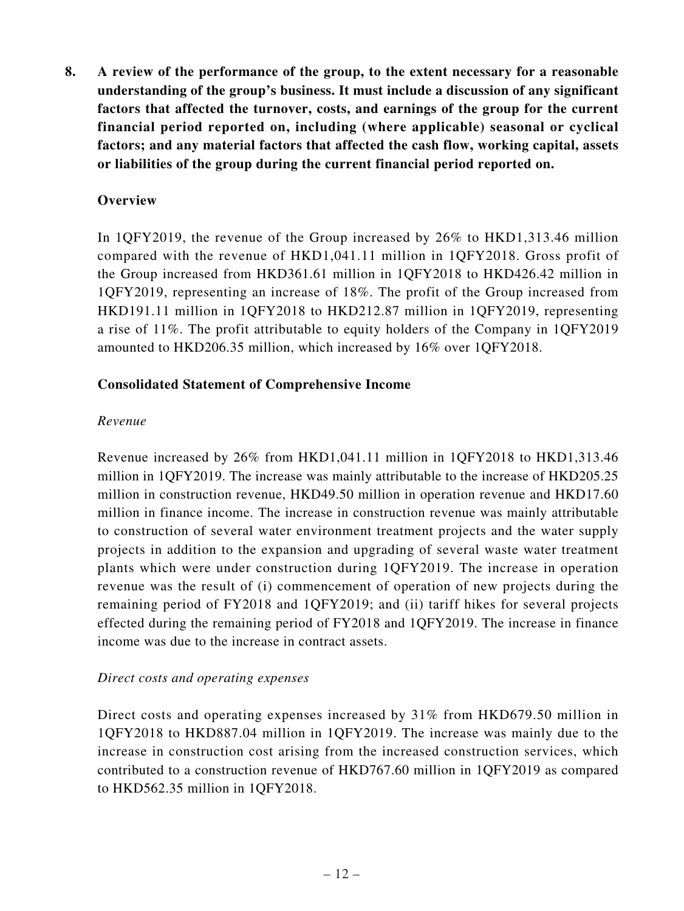**8. A review of the performance of the group, to the extent necessary for a reasonable understanding of the group's business. It must include a discussion of any significant factors that affected the turnover, costs, and earnings of the group for the current financial period reported on, including (where applicable) seasonal or cyclical factors; and any material factors that affected the cash flow, working capital, assets or liabilities of the group during the current financial period reported on.**

#### **Overview**

In 1QFY2019, the revenue of the Group increased by 26% to HKD1,313.46 million compared with the revenue of HKD1,041.11 million in 1QFY2018. Gross profit of the Group increased from HKD361.61 million in 1QFY2018 to HKD426.42 million in 1QFY2019, representing an increase of 18%. The profit of the Group increased from HKD191.11 million in 1QFY2018 to HKD212.87 million in 1QFY2019, representing a rise of 11%. The profit attributable to equity holders of the Company in 1QFY2019 amounted to HKD206.35 million, which increased by 16% over 1QFY2018.

#### **Consolidated Statement of Comprehensive Income**

#### *Revenue*

Revenue increased by 26% from HKD1,041.11 million in 1QFY2018 to HKD1,313.46 million in 1QFY2019. The increase was mainly attributable to the increase of HKD205.25 million in construction revenue, HKD49.50 million in operation revenue and HKD17.60 million in finance income. The increase in construction revenue was mainly attributable to construction of several water environment treatment projects and the water supply projects in addition to the expansion and upgrading of several waste water treatment plants which were under construction during 1QFY2019. The increase in operation revenue was the result of (i) commencement of operation of new projects during the remaining period of FY2018 and 1QFY2019; and (ii) tariff hikes for several projects effected during the remaining period of FY2018 and 1QFY2019. The increase in finance income was due to the increase in contract assets.

#### *Direct costs and operating expenses*

Direct costs and operating expenses increased by 31% from HKD679.50 million in 1QFY2018 to HKD887.04 million in 1QFY2019. The increase was mainly due to the increase in construction cost arising from the increased construction services, which contributed to a construction revenue of HKD767.60 million in 1QFY2019 as compared to HKD562.35 million in 1QFY2018.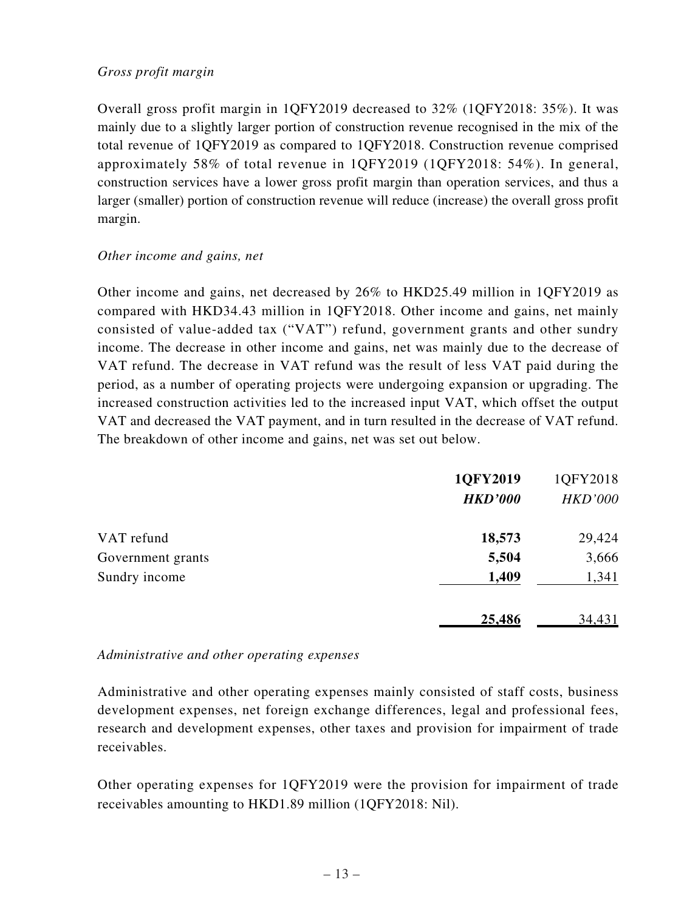#### *Gross profit margin*

Overall gross profit margin in 1QFY2019 decreased to 32% (1QFY2018: 35%). It was mainly due to a slightly larger portion of construction revenue recognised in the mix of the total revenue of 1QFY2019 as compared to 1QFY2018. Construction revenue comprised approximately 58% of total revenue in 1QFY2019 (1QFY2018: 54%). In general, construction services have a lower gross profit margin than operation services, and thus a larger (smaller) portion of construction revenue will reduce (increase) the overall gross profit margin.

#### *Other income and gains, net*

Other income and gains, net decreased by 26% to HKD25.49 million in 1QFY2019 as compared with HKD34.43 million in 1QFY2018. Other income and gains, net mainly consisted of value-added tax ("VAT") refund, government grants and other sundry income. The decrease in other income and gains, net was mainly due to the decrease of VAT refund. The decrease in VAT refund was the result of less VAT paid during the period, as a number of operating projects were undergoing expansion or upgrading. The increased construction activities led to the increased input VAT, which offset the output VAT and decreased the VAT payment, and in turn resulted in the decrease of VAT refund. The breakdown of other income and gains, net was set out below.

|                   | 1QFY2019       | 1QFY2018       |
|-------------------|----------------|----------------|
|                   | <b>HKD'000</b> | <b>HKD'000</b> |
| VAT refund        | 18,573         | 29,424         |
| Government grants | 5,504          | 3,666          |
| Sundry income     | 1,409          | 1,341          |
|                   | 25,486         | 34,431         |

#### *Administrative and other operating expenses*

Administrative and other operating expenses mainly consisted of staff costs, business development expenses, net foreign exchange differences, legal and professional fees, research and development expenses, other taxes and provision for impairment of trade receivables.

Other operating expenses for 1QFY2019 were the provision for impairment of trade receivables amounting to HKD1.89 million (1QFY2018: Nil).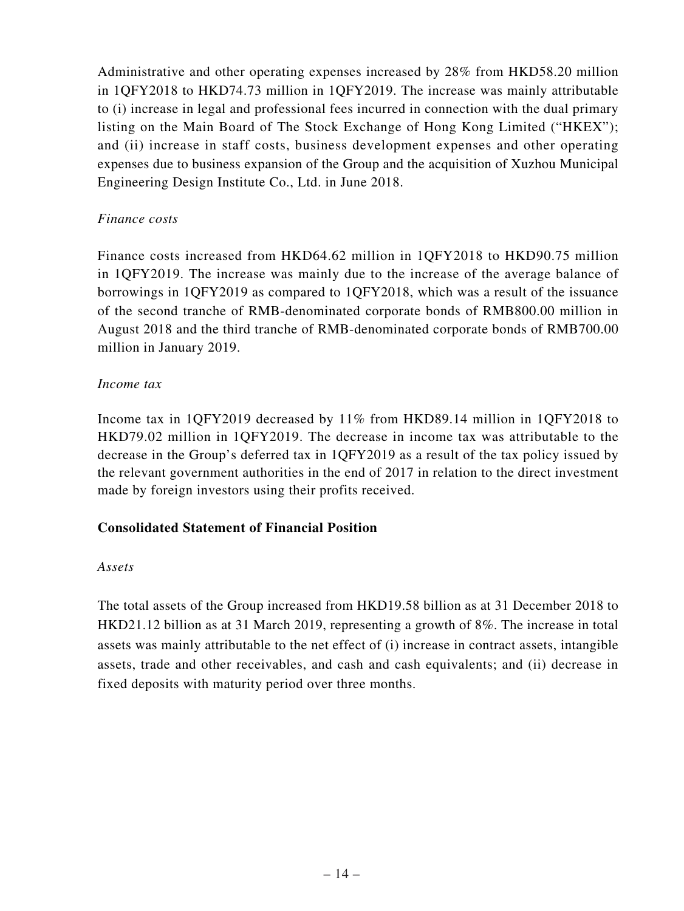Administrative and other operating expenses increased by 28% from HKD58.20 million in 1QFY2018 to HKD74.73 million in 1QFY2019. The increase was mainly attributable to (i) increase in legal and professional fees incurred in connection with the dual primary listing on the Main Board of The Stock Exchange of Hong Kong Limited ("HKEX"); and (ii) increase in staff costs, business development expenses and other operating expenses due to business expansion of the Group and the acquisition of Xuzhou Municipal Engineering Design Institute Co., Ltd. in June 2018.

#### *Finance costs*

Finance costs increased from HKD64.62 million in 1QFY2018 to HKD90.75 million in 1QFY2019. The increase was mainly due to the increase of the average balance of borrowings in 1QFY2019 as compared to 1QFY2018, which was a result of the issuance of the second tranche of RMB-denominated corporate bonds of RMB800.00 million in August 2018 and the third tranche of RMB-denominated corporate bonds of RMB700.00 million in January 2019.

#### *Income tax*

Income tax in 1QFY2019 decreased by 11% from HKD89.14 million in 1QFY2018 to HKD79.02 million in 1QFY2019. The decrease in income tax was attributable to the decrease in the Group's deferred tax in 1QFY2019 as a result of the tax policy issued by the relevant government authorities in the end of 2017 in relation to the direct investment made by foreign investors using their profits received.

### **Consolidated Statement of Financial Position**

#### *Assets*

The total assets of the Group increased from HKD19.58 billion as at 31 December 2018 to HKD21.12 billion as at 31 March 2019, representing a growth of 8%. The increase in total assets was mainly attributable to the net effect of (i) increase in contract assets, intangible assets, trade and other receivables, and cash and cash equivalents; and (ii) decrease in fixed deposits with maturity period over three months.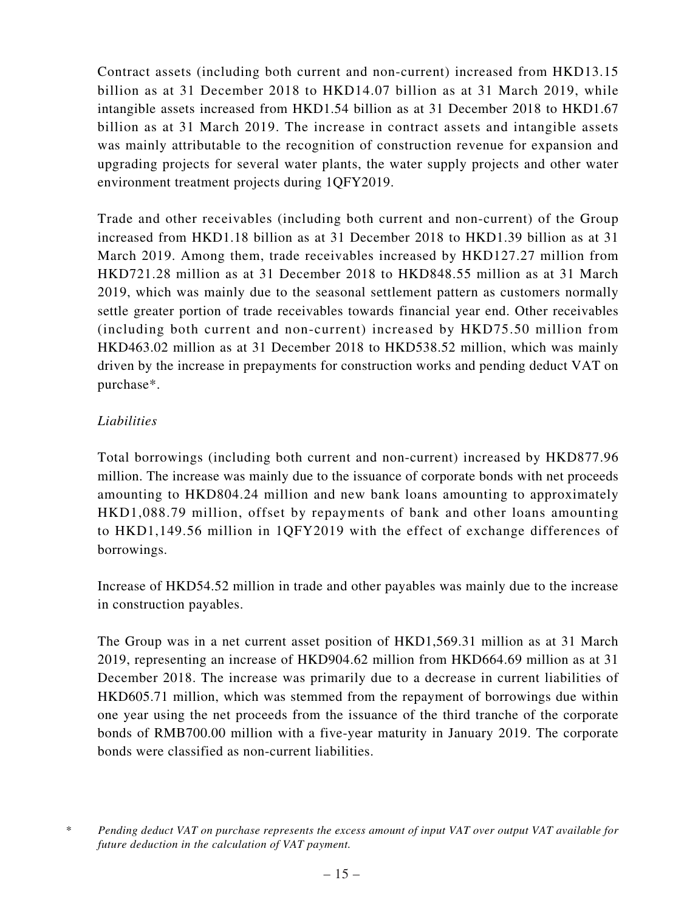Contract assets (including both current and non-current) increased from HKD13.15 billion as at 31 December 2018 to HKD14.07 billion as at 31 March 2019, while intangible assets increased from HKD1.54 billion as at 31 December 2018 to HKD1.67 billion as at 31 March 2019. The increase in contract assets and intangible assets was mainly attributable to the recognition of construction revenue for expansion and upgrading projects for several water plants, the water supply projects and other water environment treatment projects during 1QFY2019.

Trade and other receivables (including both current and non-current) of the Group increased from HKD1.18 billion as at 31 December 2018 to HKD1.39 billion as at 31 March 2019. Among them, trade receivables increased by HKD127.27 million from HKD721.28 million as at 31 December 2018 to HKD848.55 million as at 31 March 2019, which was mainly due to the seasonal settlement pattern as customers normally settle greater portion of trade receivables towards financial year end. Other receivables (including both current and non-current) increased by HKD75.50 million from HKD463.02 million as at 31 December 2018 to HKD538.52 million, which was mainly driven by the increase in prepayments for construction works and pending deduct VAT on purchase\*.

### *Liabilities*

Total borrowings (including both current and non-current) increased by HKD877.96 million. The increase was mainly due to the issuance of corporate bonds with net proceeds amounting to HKD804.24 million and new bank loans amounting to approximately HKD1,088.79 million, offset by repayments of bank and other loans amounting to HKD1,149.56 million in 1QFY2019 with the effect of exchange differences of borrowings.

Increase of HKD54.52 million in trade and other payables was mainly due to the increase in construction payables.

The Group was in a net current asset position of HKD1,569.31 million as at 31 March 2019, representing an increase of HKD904.62 million from HKD664.69 million as at 31 December 2018. The increase was primarily due to a decrease in current liabilities of HKD605.71 million, which was stemmed from the repayment of borrowings due within one year using the net proceeds from the issuance of the third tranche of the corporate bonds of RMB700.00 million with a five-year maturity in January 2019. The corporate bonds were classified as non-current liabilities.

*<sup>\*</sup> Pending deduct VAT on purchase represents the excess amount of input VAT over output VAT available for future deduction in the calculation of VAT payment.*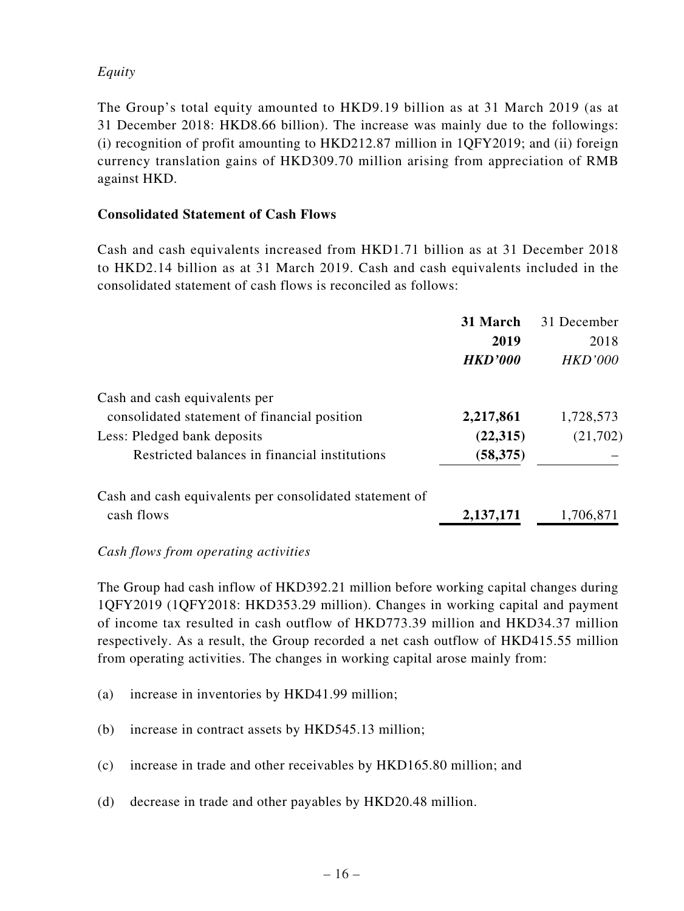### *Equity*

The Group's total equity amounted to HKD9.19 billion as at 31 March 2019 (as at 31 December 2018: HKD8.66 billion). The increase was mainly due to the followings: (i) recognition of profit amounting to HKD212.87 million in 1QFY2019; and (ii) foreign currency translation gains of HKD309.70 million arising from appreciation of RMB against HKD.

#### **Consolidated Statement of Cash Flows**

Cash and cash equivalents increased from HKD1.71 billion as at 31 December 2018 to HKD2.14 billion as at 31 March 2019. Cash and cash equivalents included in the consolidated statement of cash flows is reconciled as follows:

|                                                         | 31 March       | 31 December    |
|---------------------------------------------------------|----------------|----------------|
|                                                         | 2019           | 2018           |
|                                                         | <b>HKD'000</b> | <b>HKD'000</b> |
| Cash and cash equivalents per                           |                |                |
| consolidated statement of financial position            | 2,217,861      | 1,728,573      |
| Less: Pledged bank deposits                             | (22,315)       | (21,702)       |
| Restricted balances in financial institutions           | (58, 375)      |                |
| Cash and cash equivalents per consolidated statement of |                |                |
| cash flows                                              | 2, 137, 171    | 1,706,871      |

#### *Cash flows from operating activities*

The Group had cash inflow of HKD392.21 million before working capital changes during 1QFY2019 (1QFY2018: HKD353.29 million). Changes in working capital and payment of income tax resulted in cash outflow of HKD773.39 million and HKD34.37 million respectively. As a result, the Group recorded a net cash outflow of HKD415.55 million from operating activities. The changes in working capital arose mainly from:

- (a) increase in inventories by HKD41.99 million;
- (b) increase in contract assets by HKD545.13 million;
- (c) increase in trade and other receivables by HKD165.80 million; and
- (d) decrease in trade and other payables by HKD20.48 million.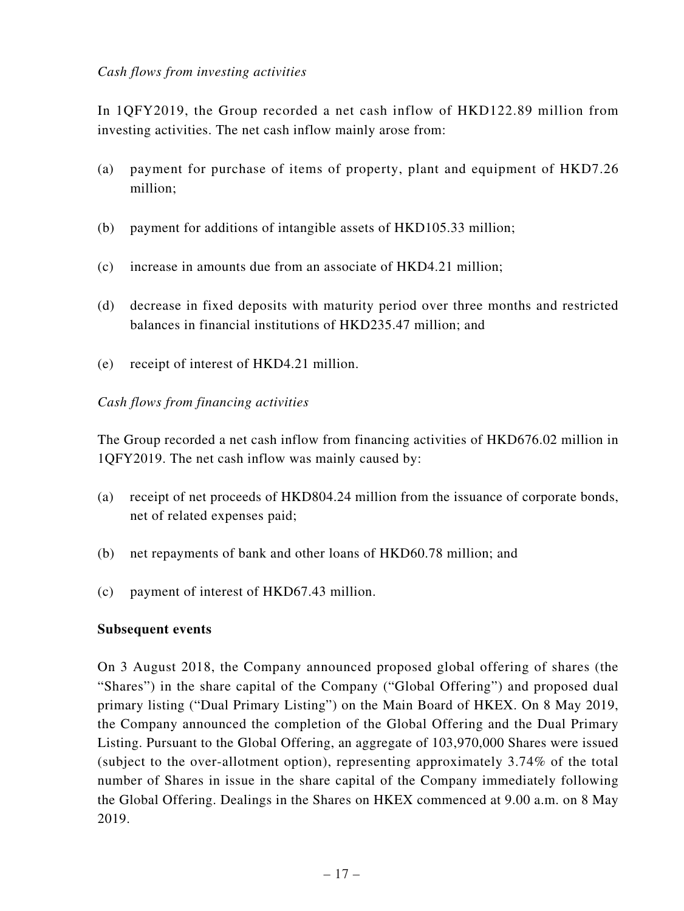In 1QFY2019, the Group recorded a net cash inflow of HKD122.89 million from investing activities. The net cash inflow mainly arose from:

- (a) payment for purchase of items of property, plant and equipment of HKD7.26 million;
- (b) payment for additions of intangible assets of HKD105.33 million;
- (c) increase in amounts due from an associate of HKD4.21 million;
- (d) decrease in fixed deposits with maturity period over three months and restricted balances in financial institutions of HKD235.47 million; and
- (e) receipt of interest of HKD4.21 million.

#### *Cash flows from financing activities*

The Group recorded a net cash inflow from financing activities of HKD676.02 million in 1QFY2019. The net cash inflow was mainly caused by:

- (a) receipt of net proceeds of HKD804.24 million from the issuance of corporate bonds, net of related expenses paid;
- (b) net repayments of bank and other loans of HKD60.78 million; and
- (c) payment of interest of HKD67.43 million.

#### **Subsequent events**

On 3 August 2018, the Company announced proposed global offering of shares (the "Shares") in the share capital of the Company ("Global Offering") and proposed dual primary listing ("Dual Primary Listing") on the Main Board of HKEX. On 8 May 2019, the Company announced the completion of the Global Offering and the Dual Primary Listing. Pursuant to the Global Offering, an aggregate of 103,970,000 Shares were issued (subject to the over-allotment option), representing approximately 3.74% of the total number of Shares in issue in the share capital of the Company immediately following the Global Offering. Dealings in the Shares on HKEX commenced at 9.00 a.m. on 8 May 2019.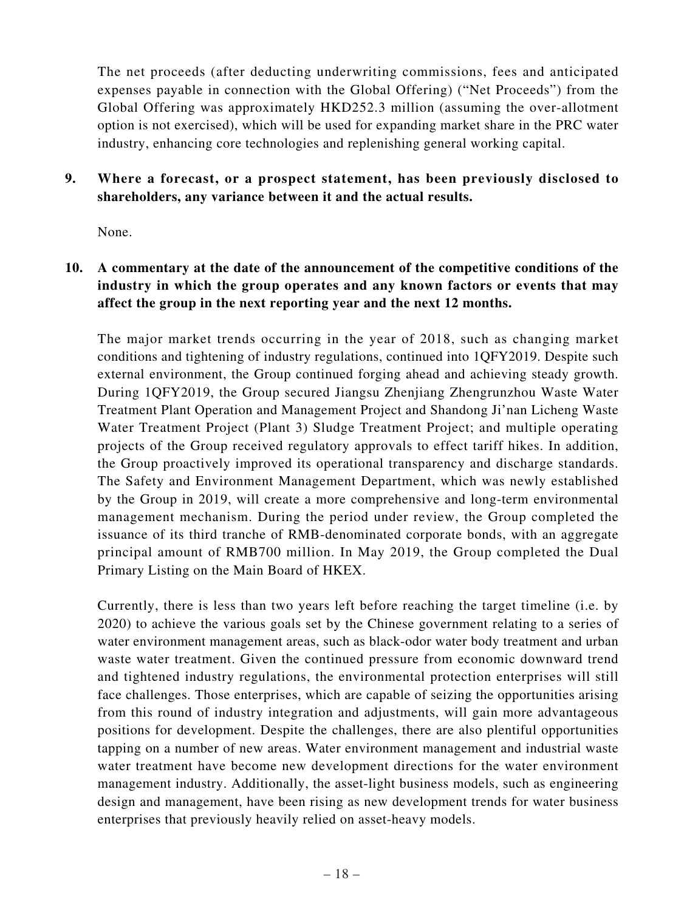The net proceeds (after deducting underwriting commissions, fees and anticipated expenses payable in connection with the Global Offering) ("Net Proceeds") from the Global Offering was approximately HKD252.3 million (assuming the over-allotment option is not exercised), which will be used for expanding market share in the PRC water industry, enhancing core technologies and replenishing general working capital.

### **9. Where a forecast, or a prospect statement, has been previously disclosed to shareholders, any variance between it and the actual results.**

None.

## **10. A commentary at the date of the announcement of the competitive conditions of the industry in which the group operates and any known factors or events that may affect the group in the next reporting year and the next 12 months.**

The major market trends occurring in the year of 2018, such as changing market conditions and tightening of industry regulations, continued into 1QFY2019. Despite such external environment, the Group continued forging ahead and achieving steady growth. During 1QFY2019, the Group secured Jiangsu Zhenjiang Zhengrunzhou Waste Water Treatment Plant Operation and Management Project and Shandong Ji'nan Licheng Waste Water Treatment Project (Plant 3) Sludge Treatment Project; and multiple operating projects of the Group received regulatory approvals to effect tariff hikes. In addition, the Group proactively improved its operational transparency and discharge standards. The Safety and Environment Management Department, which was newly established by the Group in 2019, will create a more comprehensive and long-term environmental management mechanism. During the period under review, the Group completed the issuance of its third tranche of RMB-denominated corporate bonds, with an aggregate principal amount of RMB700 million. In May 2019, the Group completed the Dual Primary Listing on the Main Board of HKEX.

Currently, there is less than two years left before reaching the target timeline (i.e. by 2020) to achieve the various goals set by the Chinese government relating to a series of water environment management areas, such as black-odor water body treatment and urban waste water treatment. Given the continued pressure from economic downward trend and tightened industry regulations, the environmental protection enterprises will still face challenges. Those enterprises, which are capable of seizing the opportunities arising from this round of industry integration and adjustments, will gain more advantageous positions for development. Despite the challenges, there are also plentiful opportunities tapping on a number of new areas. Water environment management and industrial waste water treatment have become new development directions for the water environment management industry. Additionally, the asset-light business models, such as engineering design and management, have been rising as new development trends for water business enterprises that previously heavily relied on asset-heavy models.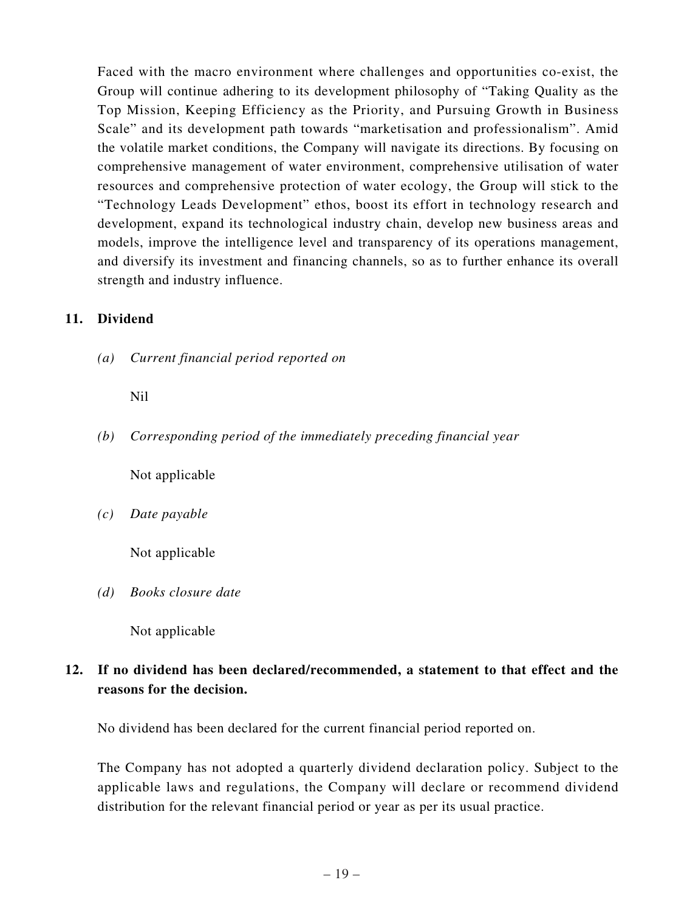Faced with the macro environment where challenges and opportunities co-exist, the Group will continue adhering to its development philosophy of "Taking Quality as the Top Mission, Keeping Efficiency as the Priority, and Pursuing Growth in Business Scale" and its development path towards "marketisation and professionalism". Amid the volatile market conditions, the Company will navigate its directions. By focusing on comprehensive management of water environment, comprehensive utilisation of water resources and comprehensive protection of water ecology, the Group will stick to the "Technology Leads Development" ethos, boost its effort in technology research and development, expand its technological industry chain, develop new business areas and models, improve the intelligence level and transparency of its operations management, and diversify its investment and financing channels, so as to further enhance its overall strength and industry influence.

#### **11. Dividend**

*(a) Current financial period reported on*

#### Nil

*(b) Corresponding period of the immediately preceding financial year*

Not applicable

*(c) Date payable*

Not applicable

*(d) Books closure date*

Not applicable

## **12. If no dividend has been declared/recommended, a statement to that effect and the reasons for the decision.**

No dividend has been declared for the current financial period reported on.

The Company has not adopted a quarterly dividend declaration policy. Subject to the applicable laws and regulations, the Company will declare or recommend dividend distribution for the relevant financial period or year as per its usual practice.